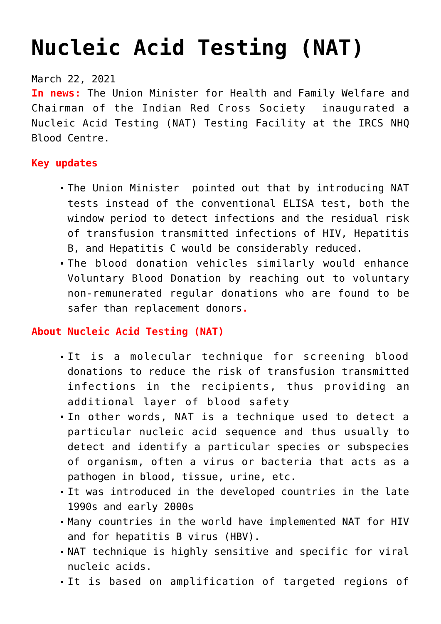# **[Nucleic Acid Testing \(NAT\)](https://journalsofindia.com/nucleic-acid-testing-nat/)**

# March 22, 2021

**In news:** The Union Minister for Health and Family Welfare and Chairman of the Indian Red Cross Society inaugurated a Nucleic Acid Testing (NAT) Testing Facility at the IRCS NHQ Blood Centre.

# **Key updates**

- The Union Minister pointed out that by introducing NAT tests instead of the conventional ELISA test, both the window period to detect infections and the residual risk of transfusion transmitted infections of HIV, Hepatitis B, and Hepatitis C would be considerably reduced.
- The blood donation vehicles similarly would enhance Voluntary Blood Donation by reaching out to voluntary non-remunerated regular donations who are found to be safer than replacement donors**.**

# **About Nucleic Acid Testing (NAT)**

- It is a molecular technique for screening blood donations to reduce the risk of transfusion transmitted infections in the recipients, thus providing an additional layer of blood safety
- In other words, NAT is a technique used to detect a particular nucleic acid sequence and thus usually to detect and identify a particular species or subspecies of organism, often a virus or bacteria that acts as a pathogen in blood, tissue, urine, etc.
- It was introduced in the developed countries in the late 1990s and early 2000s
- Many countries in the world have implemented NAT for HIV and for hepatitis B virus (HBV).
- NAT technique is highly sensitive and specific for viral nucleic acids.
- It is based on amplification of targeted regions of